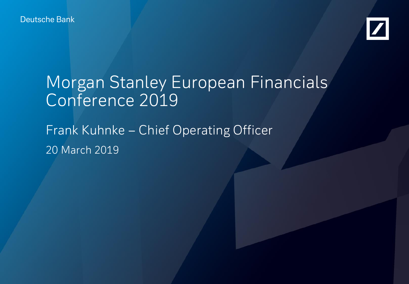Deutsche Bank



# Morgan Stanley European Financials Conference 2019

Frank Kuhnke – Chief Operating Officer 20 March 2019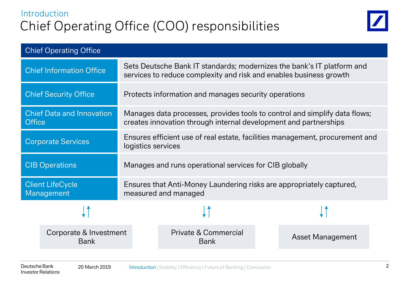# Introduction Chief Operating Office (COO) responsibilities



| <b>Chief Operating Office</b>                     |                                       |                                                                                                                                                |                                                |                         |  |  |
|---------------------------------------------------|---------------------------------------|------------------------------------------------------------------------------------------------------------------------------------------------|------------------------------------------------|-------------------------|--|--|
| <b>Chief Information Office</b>                   |                                       | Sets Deutsche Bank IT standards; modernizes the bank's IT platform and<br>services to reduce complexity and risk and enables business growth   |                                                |                         |  |  |
| <b>Chief Security Office</b>                      |                                       | Protects information and manages security operations                                                                                           |                                                |                         |  |  |
| <b>Chief Data and Innovation</b><br><b>Office</b> |                                       | Manages data processes, provides tools to control and simplify data flows;<br>creates innovation through internal development and partnerships |                                                |                         |  |  |
| <b>Corporate Services</b>                         |                                       | Ensures efficient use of real estate, facilities management, procurement and<br>logistics services                                             |                                                |                         |  |  |
| <b>CIB Operations</b>                             |                                       | Manages and runs operational services for CIB globally                                                                                         |                                                |                         |  |  |
| <b>Client LifeCycle</b><br>Management             |                                       | Ensures that Anti-Money Laundering risks are appropriately captured,<br>measured and managed                                                   |                                                |                         |  |  |
|                                                   |                                       |                                                                                                                                                |                                                |                         |  |  |
|                                                   | Corporate & Investment<br><b>Bank</b> |                                                                                                                                                | <b>Private &amp; Commercial</b><br><b>Bank</b> | <b>Asset Management</b> |  |  |
|                                                   |                                       |                                                                                                                                                |                                                |                         |  |  |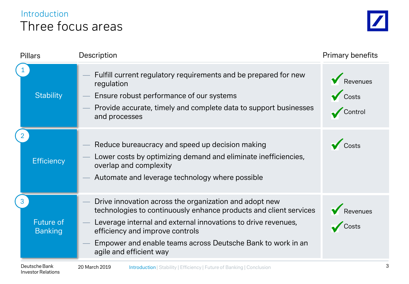# Three focus areas Introduction

| <b>Pillars</b>                             | Description                                                                                                                                                                                                                                                                                                               | Primary benefits             |
|--------------------------------------------|---------------------------------------------------------------------------------------------------------------------------------------------------------------------------------------------------------------------------------------------------------------------------------------------------------------------------|------------------------------|
| <b>Stability</b>                           | Fulfill current regulatory requirements and be prepared for new<br>regulation<br>Ensure robust performance of our systems<br>Provide accurate, timely and complete data to support businesses<br>and processes                                                                                                            | Revenues<br>Costs<br>Control |
| <b>Efficiency</b>                          | Reduce bureaucracy and speed up decision making<br>Lower costs by optimizing demand and eliminate inefficiencies,<br>overlap and complexity<br>Automate and leverage technology where possible                                                                                                                            | Costs                        |
| <b>Future of</b><br><b>Banking</b>         | Drive innovation across the organization and adopt new<br>technologies to continuously enhance products and client services<br>Leverage internal and external innovations to drive revenues,<br>efficiency and improve controls<br>Empower and enable teams across Deutsche Bank to work in an<br>agile and efficient way | Revenues<br>Costs            |
| Deutsche Bank<br><b>Investor Relations</b> | 20 March 2019<br><b>Introduction   Stability   Efficiency   Future of Banking   Conclusion</b>                                                                                                                                                                                                                            |                              |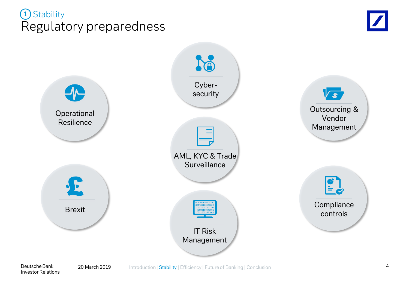# Regulatory preparedness 1) Stability



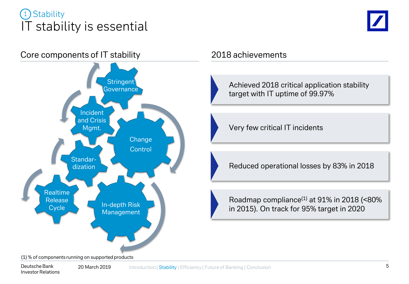# IT stability is essential **Stability**





Achieved 2018 critical application stability target with IT uptime of 99.97%

Very few critical IT incidents

Reduced operational losses by 83% in 2018

Roadmap compliance $(1)$  at 91% in 2018 (<80%) in 2015). On track for 95% target in 2020

 $(1)$ % of components running on supported products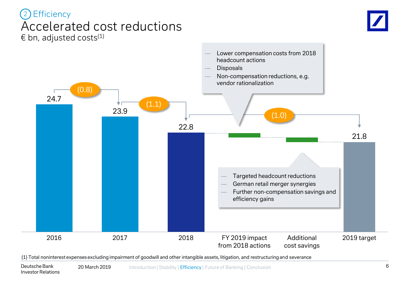## Accelerated cost reductions  $\in$  bn, adjusted costs<sup>(1)</sup> 2 Efficiency





(1) Total noninterest expenses excluding impairment of goodwill and other intangible assets, litigation, and restructuring and severance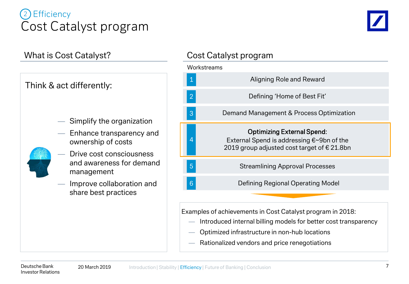# Cost Catalyst program **Efficiency**



## What is Cost Catalyst?



- Simplify the organization
- Enhance transparency and ownership of costs
- Drive cost consciousness and awareness for demand management
- Improve collaboration and share best practices

## Cost Catalyst program



Examples of achievements in Cost Catalyst program in 2018:

- Introduced internal billing models for better cost transparency
- Optimized infrastructure in non-hub locations
- Rationalized vendors and price renegotiations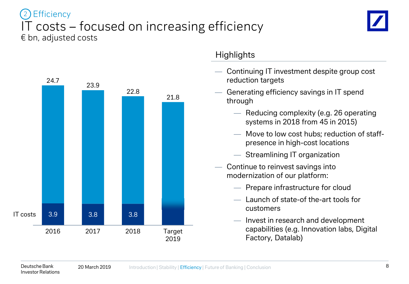## IT costs – focused on increasing efficiency  $\epsilon$  bn, adjusted costs **Efficiency**





## **Highlights**

- Continuing IT investment despite group cost reduction targets
- Generating efficiency savings in IT spend through
	- Reducing complexity (e.g. 26 operating systems in 2018 from 45 in 2015)
	- Move to low cost hubs; reduction of staffpresence in high-cost locations
	- Streamlining IT organization
- Continue to reinvest savings into modernization of our platform:
	- Prepare infrastructure for cloud
	- Launch of state-of the-art tools for customers
	- Invest in research and development capabilities (e.g. Innovation labs, Digital Factory, Datalab)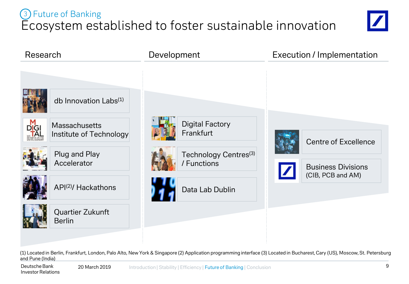# Ecosystem established to foster sustainable innovation 3 Future of Banking





(1) Located in Berlin, Frankfurt, London, Palo Alto, New York & Singapore (2) Application programming interface (3) Located in Bucharest, Cary (US), Moscow, St. Petersburg and Pune (India)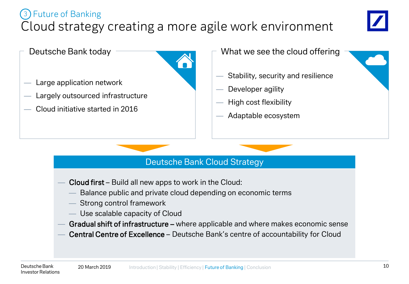# Cloud strategy creating a more agile work environment 3 Future of Banking



Deutsche Bank today A Large application network Largely outsourced infrastructure

— Cloud initiative started in 2016

- What we see the cloud offering
- Stability, security and resilience
- Developer agility
- High cost flexibility
- Adaptable ecosystem

## Deutsche Bank Cloud Strategy

- Cloud first Build all new apps to work in the Cloud:
	- Balance public and private cloud depending on economic terms
	- Strong control framework
	- Use scalable capacity of Cloud
- Gradual shift of infrastructure where applicable and where makes economic sense
- Central Centre of Excellence Deutsche Bank's centre of accountability for Cloud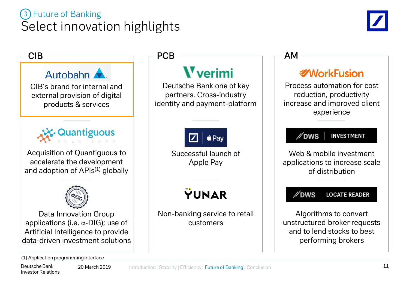# Select innovation highlights 3 Future of Banking





Deutsche Bank 20 March 2019 Investor Relations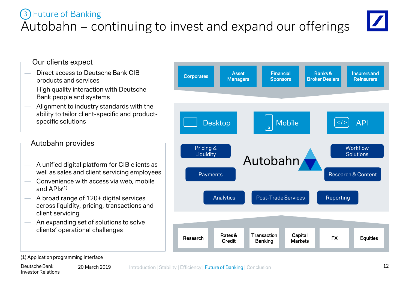#### **Managers** Financial **Sponsors** — Direct access to Deutsche Bank CIB products and services Our clients expect

Autobahn – continuing to invest and expand our offerings

- High quality interaction with Deutsche Bank people and systems
- Alignment to industry standards with the ability to tailor client-specific and productspecific solutions

## Autobahn provides

3 Future of Banking

- A unified digital platform for CIB clients as well as sales and client servicing employees
- Convenience with access via web, mobile and  $APIs^{(1)}$
- A broad range of 120+ digital services across liquidity, pricing, transactions and client servicing
- An expanding set of solutions to solve clients' operational challenges





(1) Application programming interface

Insurers and **Reinsurers** 

**Workflow** Solutions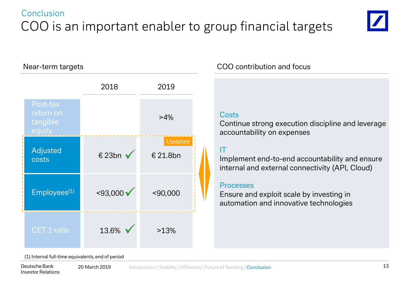# Conclusion COO is an important enabler to group financial targets



Near-term targets

|  |                                             | 2018               | 2019                |  |
|--|---------------------------------------------|--------------------|---------------------|--|
|  | Post-tax<br>return on<br>tangible<br>equity |                    | $>4\%$              |  |
|  | Adjusted<br>costs                           | € 23bn v           | Updated<br>€ 21.8bn |  |
|  | Employees <sup>(1)</sup>                    | $<$ 93,000 $\sqrt$ | $<$ 90,000          |  |
|  | <b>CET 1 ratio</b>                          | 13.6%              | >13%                |  |

## COO contribution and focus

### **Costs**

Continue strong execution discipline and leverage accountability on expenses

## IT

Implement end-to-end accountability and ensure internal and external connectivity (API, Cloud)

### **Processes**

Ensure and exploit scale by investing in automation and innovative technologies

(1) Internal full-time equivalents, end of period

Deutsche Bank 20 March 2019 Investor Relations Introduction | Stability | Efficiency | Future of Banking | Conclusion 13